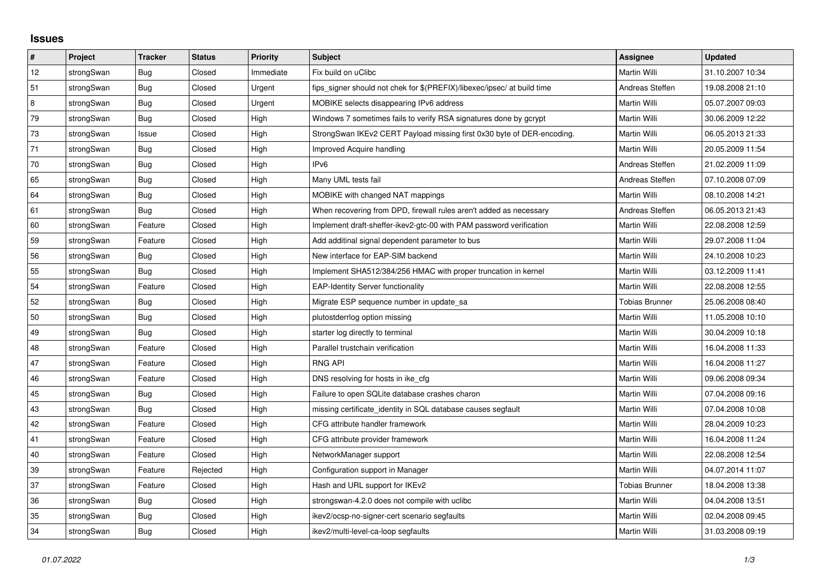## **Issues**

| $\pmb{\#}$ | Project    | <b>Tracker</b> | <b>Status</b> | <b>Priority</b> | <b>Subject</b>                                                          | <b>Assignee</b>       | <b>Updated</b>   |
|------------|------------|----------------|---------------|-----------------|-------------------------------------------------------------------------|-----------------------|------------------|
| 12         | strongSwan | <b>Bug</b>     | Closed        | Immediate       | Fix build on uClibc                                                     | Martin Willi          | 31.10.2007 10:34 |
| 51         | strongSwan | Bug            | Closed        | Urgent          | fips signer should not chek for \$(PREFIX)/libexec/ipsec/ at build time | Andreas Steffen       | 19.08.2008 21:10 |
| 8          | strongSwan | Bug            | Closed        | Urgent          | MOBIKE selects disappearing IPv6 address                                | Martin Willi          | 05.07.2007 09:03 |
| 79         | strongSwan | Bug            | Closed        | High            | Windows 7 sometimes fails to verify RSA signatures done by gcrypt       | Martin Willi          | 30.06.2009 12:22 |
| 73         | strongSwan | Issue          | Closed        | High            | StrongSwan IKEv2 CERT Payload missing first 0x30 byte of DER-encoding.  | Martin Willi          | 06.05.2013 21:33 |
| 71         | strongSwan | Bug            | Closed        | High            | Improved Acquire handling                                               | <b>Martin Willi</b>   | 20.05.2009 11:54 |
| 70         | strongSwan | Bug            | Closed        | High            | IPv6                                                                    | Andreas Steffen       | 21.02.2009 11:09 |
| 65         | strongSwan | <b>Bug</b>     | Closed        | High            | Many UML tests fail                                                     | Andreas Steffen       | 07.10.2008 07:09 |
| 64         | strongSwan | Bug            | Closed        | High            | MOBIKE with changed NAT mappings                                        | Martin Willi          | 08.10.2008 14:21 |
| 61         | strongSwan | Bug            | Closed        | High            | When recovering from DPD, firewall rules aren't added as necessary      | Andreas Steffen       | 06.05.2013 21:43 |
| 60         | strongSwan | Feature        | Closed        | High            | Implement draft-sheffer-ikev2-gtc-00 with PAM password verification     | Martin Willi          | 22.08.2008 12:59 |
| 59         | strongSwan | Feature        | Closed        | High            | Add additinal signal dependent parameter to bus                         | Martin Willi          | 29.07.2008 11:04 |
| 56         | strongSwan | Bug            | Closed        | High            | New interface for EAP-SIM backend                                       | Martin Willi          | 24.10.2008 10:23 |
| 55         | strongSwan | Bug            | Closed        | High            | Implement SHA512/384/256 HMAC with proper truncation in kernel          | Martin Willi          | 03.12.2009 11:41 |
| 54         | strongSwan | Feature        | Closed        | High            | <b>EAP-Identity Server functionality</b>                                | Martin Willi          | 22.08.2008 12:55 |
| 52         | strongSwan | Bug            | Closed        | High            | Migrate ESP sequence number in update_sa                                | Tobias Brunner        | 25.06.2008 08:40 |
| 50         | strongSwan | Bug            | Closed        | High            | plutostderrlog option missing                                           | Martin Willi          | 11.05.2008 10:10 |
| 49         | strongSwan | Bug            | Closed        | High            | starter log directly to terminal                                        | Martin Willi          | 30.04.2009 10:18 |
| 48         | strongSwan | Feature        | Closed        | High            | Parallel trustchain verification                                        | Martin Willi          | 16.04.2008 11:33 |
| 47         | strongSwan | Feature        | Closed        | High            | <b>RNG API</b>                                                          | Martin Willi          | 16.04.2008 11:27 |
| 46         | strongSwan | Feature        | Closed        | High            | DNS resolving for hosts in ike_cfg                                      | Martin Willi          | 09.06.2008 09:34 |
| 45         | strongSwan | Bug            | Closed        | High            | Failure to open SQLite database crashes charon                          | Martin Willi          | 07.04.2008 09:16 |
| 43         | strongSwan | Bug            | Closed        | High            | missing certificate identity in SQL database causes segfault            | Martin Willi          | 07.04.2008 10:08 |
| 42         | strongSwan | Feature        | Closed        | High            | CFG attribute handler framework                                         | Martin Willi          | 28.04.2009 10:23 |
| 41         | strongSwan | Feature        | Closed        | High            | CFG attribute provider framework                                        | Martin Willi          | 16.04.2008 11:24 |
| $40\,$     | strongSwan | Feature        | Closed        | High            | NetworkManager support                                                  | Martin Willi          | 22.08.2008 12:54 |
| 39         | strongSwan | Feature        | Rejected      | High            | Configuration support in Manager                                        | Martin Willi          | 04.07.2014 11:07 |
| 37         | strongSwan | Feature        | Closed        | High            | Hash and URL support for IKEv2                                          | <b>Tobias Brunner</b> | 18.04.2008 13:38 |
| 36         | strongSwan | Bug            | Closed        | High            | strongswan-4.2.0 does not compile with uclibc                           | Martin Willi          | 04.04.2008 13:51 |
| 35         | strongSwan | Bug            | Closed        | High            | ikev2/ocsp-no-signer-cert scenario segfaults                            | Martin Willi          | 02.04.2008 09:45 |
| 34         | strongSwan | Bug            | Closed        | High            | ikev2/multi-level-ca-loop segfaults                                     | Martin Willi          | 31.03.2008 09:19 |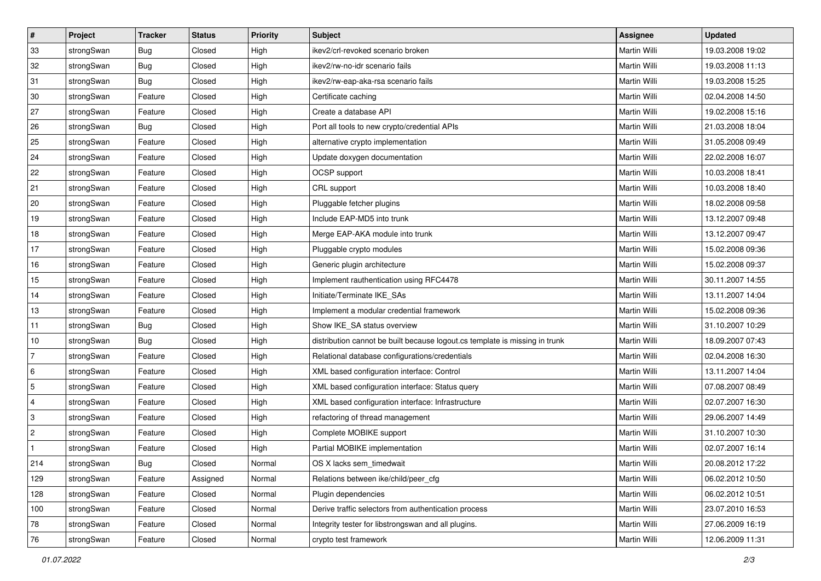| $\vert$ #      | Project    | <b>Tracker</b> | <b>Status</b> | <b>Priority</b> | <b>Subject</b>                                                              | Assignee            | <b>Updated</b>   |
|----------------|------------|----------------|---------------|-----------------|-----------------------------------------------------------------------------|---------------------|------------------|
| 33             | strongSwan | Bug            | Closed        | High            | ikev2/crl-revoked scenario broken                                           | Martin Willi        | 19.03.2008 19:02 |
| 32             | strongSwan | Bug            | Closed        | High            | ikev2/rw-no-idr scenario fails                                              | <b>Martin Willi</b> | 19.03.2008 11:13 |
| 31             | strongSwan | <b>Bug</b>     | Closed        | High            | ikev2/rw-eap-aka-rsa scenario fails                                         | Martin Willi        | 19.03.2008 15:25 |
| 30             | strongSwan | Feature        | Closed        | High            | Certificate caching                                                         | Martin Willi        | 02.04.2008 14:50 |
| 27             | strongSwan | Feature        | Closed        | High            | Create a database API                                                       | Martin Willi        | 19.02.2008 15:16 |
| 26             | strongSwan | <b>Bug</b>     | Closed        | High            | Port all tools to new crypto/credential APIs                                | Martin Willi        | 21.03.2008 18:04 |
| 25             | strongSwan | Feature        | Closed        | High            | alternative crypto implementation                                           | Martin Willi        | 31.05.2008 09:49 |
| 24             | strongSwan | Feature        | Closed        | High            | Update doxygen documentation                                                | Martin Willi        | 22.02.2008 16:07 |
| 22             | strongSwan | Feature        | Closed        | High            | OCSP support                                                                | Martin Willi        | 10.03.2008 18:41 |
| 21             | strongSwan | Feature        | Closed        | High            | CRL support                                                                 | Martin Willi        | 10.03.2008 18:40 |
| 20             | strongSwan | Feature        | Closed        | High            | Pluggable fetcher plugins                                                   | Martin Willi        | 18.02.2008 09:58 |
| 19             | strongSwan | Feature        | Closed        | High            | Include EAP-MD5 into trunk                                                  | Martin Willi        | 13.12.2007 09:48 |
| 18             | strongSwan | Feature        | Closed        | High            | Merge EAP-AKA module into trunk                                             | <b>Martin Willi</b> | 13.12.2007 09:47 |
| 17             | strongSwan | Feature        | Closed        | High            | Pluggable crypto modules                                                    | Martin Willi        | 15.02.2008 09:36 |
| 16             | strongSwan | Feature        | Closed        | High            | Generic plugin architecture                                                 | <b>Martin Willi</b> | 15.02.2008 09:37 |
| 15             | strongSwan | Feature        | Closed        | High            | Implement rauthentication using RFC4478                                     | Martin Willi        | 30.11.2007 14:55 |
| 14             | strongSwan | Feature        | Closed        | High            | Initiate/Terminate IKE SAs                                                  | <b>Martin Willi</b> | 13.11.2007 14:04 |
| 13             | strongSwan | Feature        | Closed        | High            | Implement a modular credential framework                                    | Martin Willi        | 15.02.2008 09:36 |
| 11             | strongSwan | <b>Bug</b>     | Closed        | High            | Show IKE_SA status overview                                                 | Martin Willi        | 31.10.2007 10:29 |
| 10             | strongSwan | <b>Bug</b>     | Closed        | High            | distribution cannot be built because logout.cs template is missing in trunk | Martin Willi        | 18.09.2007 07:43 |
| 7              | strongSwan | Feature        | Closed        | High            | Relational database configurations/credentials                              | Martin Willi        | 02.04.2008 16:30 |
| 6              | strongSwan | Feature        | Closed        | High            | XML based configuration interface: Control                                  | Martin Willi        | 13.11.2007 14:04 |
| 5              | strongSwan | Feature        | Closed        | High            | XML based configuration interface: Status query                             | Martin Willi        | 07.08.2007 08:49 |
| 4              | strongSwan | Feature        | Closed        | High            | XML based configuration interface: Infrastructure                           | Martin Willi        | 02.07.2007 16:30 |
| 3              | strongSwan | Feature        | Closed        | High            | refactoring of thread management                                            | Martin Willi        | 29.06.2007 14:49 |
| $\overline{2}$ | strongSwan | Feature        | Closed        | High            | Complete MOBIKE support                                                     | Martin Willi        | 31.10.2007 10:30 |
|                | strongSwan | Feature        | Closed        | High            | Partial MOBIKE implementation                                               | Martin Willi        | 02.07.2007 16:14 |
| 214            | strongSwan | Bug            | Closed        | Normal          | OS X lacks sem_timedwait                                                    | Martin Willi        | 20.08.2012 17:22 |
| 129            | strongSwan | Feature        | Assigned      | Normal          | Relations between ike/child/peer cfg                                        | Martin Willi        | 06.02.2012 10:50 |
| 128            | strongSwan | Feature        | Closed        | Normal          | Plugin dependencies                                                         | Martin Willi        | 06.02.2012 10:51 |
| 100            | strongSwan | Feature        | Closed        | Normal          | Derive traffic selectors from authentication process                        | Martin Willi        | 23.07.2010 16:53 |
| 78             | strongSwan | Feature        | Closed        | Normal          | Integrity tester for libstrongswan and all plugins.                         | Martin Willi        | 27.06.2009 16:19 |
| 76             | strongSwan | Feature        | Closed        | Normal          | crypto test framework                                                       | Martin Willi        | 12.06.2009 11:31 |